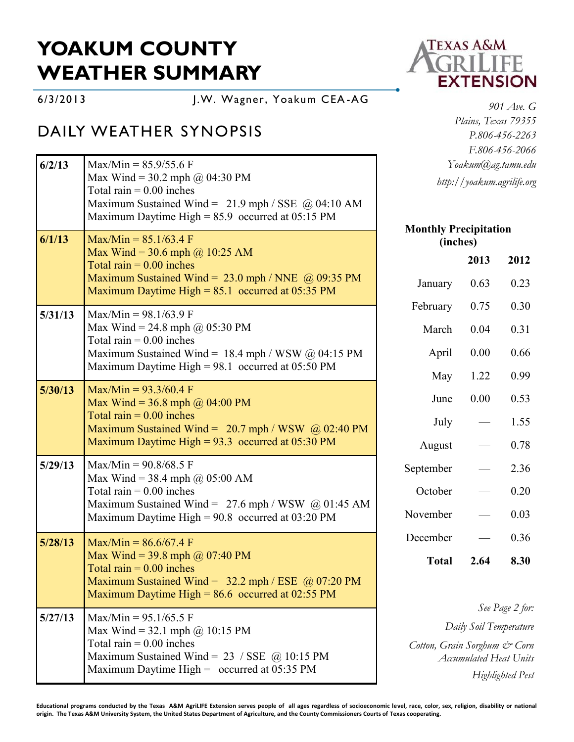## **YOAKUM COUNTY WEATHER SUMMARY**

6/3/2013 J.W. Wagner, Yoakum CEA-AG

## DAILY WEATHER SYNOPSIS

| 6/2/13  | $Max/Min = 85.9/55.6 F$<br>Max Wind = 30.2 mph @ 04:30 PM                                                                                                                                                     | Yoakum@ag.tamu.edu<br>http://yoakum.agrilife.org              |      |                         |
|---------|---------------------------------------------------------------------------------------------------------------------------------------------------------------------------------------------------------------|---------------------------------------------------------------|------|-------------------------|
|         | Total rain $= 0.00$ inches<br>Maximum Sustained Wind = $21.9$ mph / SSE @ 04:10 AM<br>Maximum Daytime High = $85.9$ occurred at 05:15 PM                                                                      |                                                               |      |                         |
| 6/1/13  | $Max/Min = 85.1/63.4 F$                                                                                                                                                                                       | <b>Monthly Precipitation</b><br>(inches)                      |      |                         |
|         | Max Wind = $30.6$ mph @ 10:25 AM<br>Total rain $= 0.00$ inches                                                                                                                                                |                                                               | 2013 | 2012                    |
|         | Maximum Sustained Wind = $23.0$ mph / NNE $\omega$ 09:35 PM<br>Maximum Daytime High = $85.1$ occurred at 05:35 PM                                                                                             | January                                                       | 0.63 | 0.23                    |
| 5/31/13 | $Max/Min = 98.1/63.9 F$<br>Max Wind = 24.8 mph @ $05:30 \text{ PM}$<br>Total rain $= 0.00$ inches<br>Maximum Sustained Wind = $18.4$ mph / WSW @ 04:15 PM<br>Maximum Daytime High = 98.1 occurred at 05:50 PM | February                                                      | 0.75 | 0.30                    |
|         |                                                                                                                                                                                                               | March                                                         | 0.04 | 0.31                    |
|         |                                                                                                                                                                                                               | April                                                         | 0.00 | 0.66                    |
|         |                                                                                                                                                                                                               | May                                                           | 1.22 | 0.99                    |
| 5/30/13 | $Max/Min = 93.3/60.4$ F<br>Max Wind = 36.8 mph $\omega$ 04:00 PM<br>Total rain $= 0.00$ inches<br>Maximum Sustained Wind = $20.7$ mph / WSW @ 02:40 PM<br>Maximum Daytime High = $93.3$ occurred at 05:30 PM  | June                                                          | 0.00 | 0.53                    |
|         |                                                                                                                                                                                                               | July                                                          |      | 1.55                    |
|         |                                                                                                                                                                                                               | August                                                        |      | 0.78                    |
| 5/29/13 | $Max/Min = 90.8/68.5$ F<br>Max Wind = 38.4 mph @ $05:00$ AM<br>Total rain $= 0.00$ inches<br>Maximum Sustained Wind = $27.6$ mph / WSW @ 01:45 AM<br>Maximum Daytime High = $90.8$ occurred at 03:20 PM       | September                                                     |      | 2.36                    |
|         |                                                                                                                                                                                                               | October                                                       |      | 0.20                    |
|         |                                                                                                                                                                                                               | November                                                      |      | 0.03                    |
| 5/28/13 | $Max/Min = 86.6/67.4 F$<br>Max Wind = 39.8 mph @ 07:40 PM<br>Total rain $= 0.00$ inches<br>Maximum Sustained Wind = $32.2$ mph / ESE @ 07:20 PM<br>Maximum Daytime High = $86.6$ occurred at 02:55 PM         | December                                                      |      | 0.36                    |
|         |                                                                                                                                                                                                               | <b>Total</b>                                                  | 2.64 | 8.30                    |
| 5/27/13 | $Max/Min = 95.1/65.5$ F<br>Max Wind = 32.1 mph @ 10:15 PM<br>Total rain $= 0.00$ inches<br>Maximum Sustained Wind = $23 / SSE$ (a) 10:15 PM<br>Maximum Daytime High = $\,\,$ occurred at 05:35 PM             |                                                               |      | See Page 2 for:         |
|         |                                                                                                                                                                                                               | Daily Soil Temperature                                        |      |                         |
|         |                                                                                                                                                                                                               | Cotton, Grain Sorghum & Corn<br><b>Accumulated Heat Units</b> |      |                         |
|         |                                                                                                                                                                                                               |                                                               |      | <b>Highlighted Pest</b> |



*901 Ave. G Plains, Texas 79355 P.806-456-2263 F.806-456-2066 Yoakum@ag.tamu.edu http://yoakum.agrilife.org*

## **Educational programs conducted by the Texas A&M AgriLIFE Extension serves people of all ages regardless of socioeconomic level, race, color, sex, religion, disability or national origin. The Texas A&M University System, the United States Department of Agriculture, and the County Commissioners Courts of Texas cooperating.**